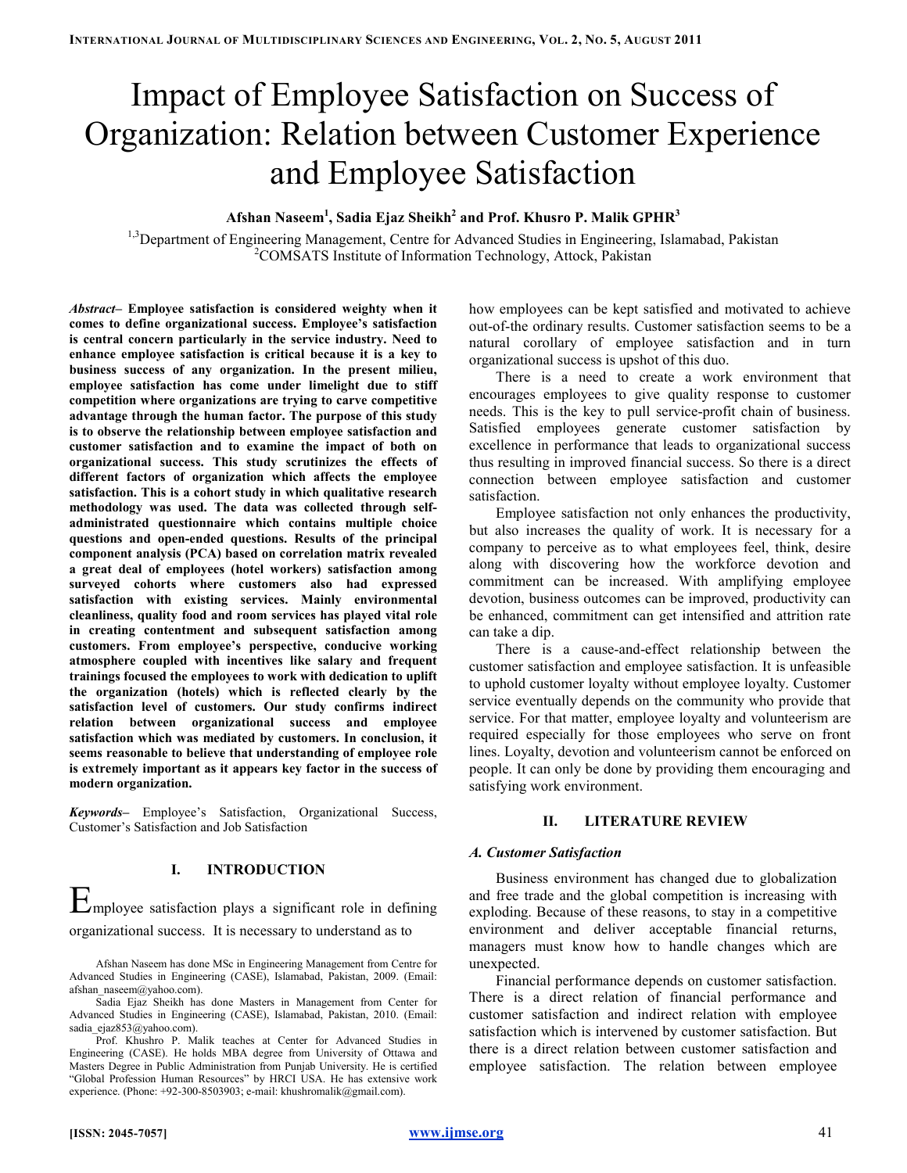# Impact of Employee Satisfaction on Success of Organization: Relation between Customer Experience and Employee Satisfaction

## Afshan Naseem $^1$ , Sadia Ejaz Sheikh $^2$  and Prof. Khusro P. Malik GPHR $^3$

<sup>1,3</sup>Department of Engineering Management, Centre for Advanced Studies in Engineering, Islamabad, Pakistan <sup>2</sup>COMSATS Institute of Information Technology, Attock, Pakistan

Abstract– Employee satisfaction is considered weighty when it comes to define organizational success. Employee's satisfaction is central concern particularly in the service industry. Need to enhance employee satisfaction is critical because it is a key to business success of any organization. In the present milieu, employee satisfaction has come under limelight due to stiff competition where organizations are trying to carve competitive advantage through the human factor. The purpose of this study is to observe the relationship between employee satisfaction and customer satisfaction and to examine the impact of both on organizational success. This study scrutinizes the effects of different factors of organization which affects the employee satisfaction. This is a cohort study in which qualitative research methodology was used. The data was collected through selfadministrated questionnaire which contains multiple choice questions and open-ended questions. Results of the principal component analysis (PCA) based on correlation matrix revealed a great deal of employees (hotel workers) satisfaction among surveyed cohorts where customers also had expressed satisfaction with existing services. Mainly environmental cleanliness, quality food and room services has played vital role in creating contentment and subsequent satisfaction among customers. From employee's perspective, conducive working atmosphere coupled with incentives like salary and frequent trainings focused the employees to work with dedication to uplift the organization (hotels) which is reflected clearly by the satisfaction level of customers. Our study confirms indirect relation between organizational success and employee satisfaction which was mediated by customers. In conclusion, it seems reasonable to believe that understanding of employee role is extremely important as it appears key factor in the success of modern organization.

Keywords– Employee's Satisfaction, Organizational Success, Customer's Satisfaction and Job Satisfaction

## I. INTRODUCTION

Employee satisfaction plays a significant role in defining organizational success. It is necessary to understand as to

how employees can be kept satisfied and motivated to achieve out-of-the ordinary results. Customer satisfaction seems to be a natural corollary of employee satisfaction and in turn organizational success is upshot of this duo.

There is a need to create a work environment that encourages employees to give quality response to customer needs. This is the key to pull service-profit chain of business. Satisfied employees generate customer satisfaction by excellence in performance that leads to organizational success thus resulting in improved financial success. So there is a direct connection between employee satisfaction and customer satisfaction.

Employee satisfaction not only enhances the productivity, but also increases the quality of work. It is necessary for a company to perceive as to what employees feel, think, desire along with discovering how the workforce devotion and commitment can be increased. With amplifying employee devotion, business outcomes can be improved, productivity can be enhanced, commitment can get intensified and attrition rate can take a dip.

There is a cause-and-effect relationship between the customer satisfaction and employee satisfaction. It is unfeasible to uphold customer loyalty without employee loyalty. Customer service eventually depends on the community who provide that service. For that matter, employee loyalty and volunteerism are required especially for those employees who serve on front lines. Loyalty, devotion and volunteerism cannot be enforced on people. It can only be done by providing them encouraging and satisfying work environment.

## II. LITERATURE REVIEW

## A. Customer Satisfaction

Business environment has changed due to globalization and free trade and the global competition is increasing with exploding. Because of these reasons, to stay in a competitive environment and deliver acceptable financial returns, managers must know how to handle changes which are unexpected.

Financial performance depends on customer satisfaction. There is a direct relation of financial performance and customer satisfaction and indirect relation with employee satisfaction which is intervened by customer satisfaction. But there is a direct relation between customer satisfaction and employee satisfaction. The relation between employee

Afshan Naseem has done MSc in Engineering Management from Centre for Advanced Studies in Engineering (CASE), Islamabad, Pakistan, 2009. (Email: afshan\_naseem@yahoo.com).

Sadia Ejaz Sheikh has done Masters in Management from Center for Advanced Studies in Engineering (CASE), Islamabad, Pakistan, 2010. (Email: sadia\_ejaz853@yahoo.com).

Prof. Khushro P. Malik teaches at Center for Advanced Studies in Engineering (CASE). He holds MBA degree from University of Ottawa and Masters Degree in Public Administration from Punjab University. He is certified "Global Profession Human Resources" by HRCI USA. He has extensive work experience. (Phone: +92-300-8503903; e-mail: khushromalik@gmail.com).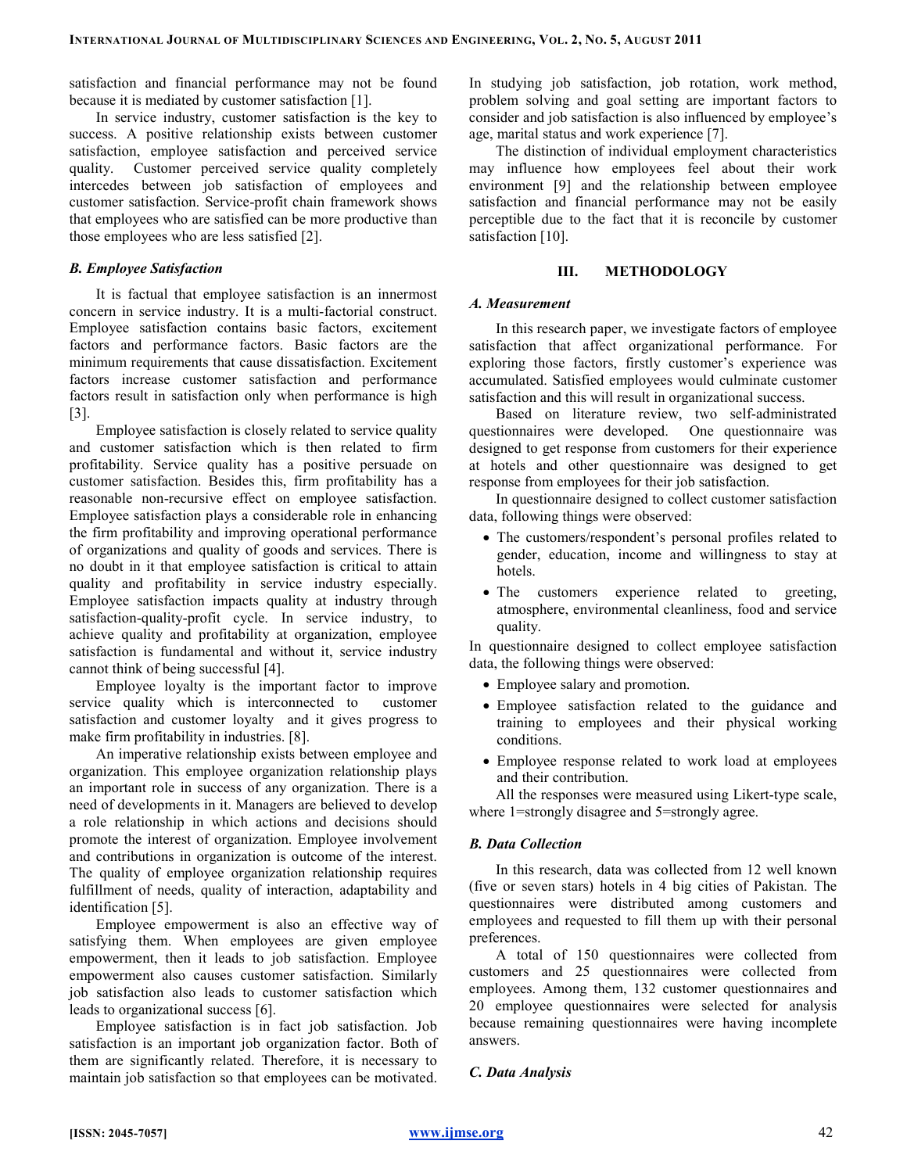satisfaction and financial performance may not be found because it is mediated by customer satisfaction [1].

In service industry, customer satisfaction is the key to success. A positive relationship exists between customer satisfaction, employee satisfaction and perceived service quality. Customer perceived service quality completely intercedes between job satisfaction of employees and customer satisfaction. Service-profit chain framework shows that employees who are satisfied can be more productive than those employees who are less satisfied [2].

## B. Employee Satisfaction

It is factual that employee satisfaction is an innermost concern in service industry. It is a multi-factorial construct. Employee satisfaction contains basic factors, excitement factors and performance factors. Basic factors are the minimum requirements that cause dissatisfaction. Excitement factors increase customer satisfaction and performance factors result in satisfaction only when performance is high [3].

Employee satisfaction is closely related to service quality and customer satisfaction which is then related to firm profitability. Service quality has a positive persuade on customer satisfaction. Besides this, firm profitability has a reasonable non-recursive effect on employee satisfaction. Employee satisfaction plays a considerable role in enhancing the firm profitability and improving operational performance of organizations and quality of goods and services. There is no doubt in it that employee satisfaction is critical to attain quality and profitability in service industry especially. Employee satisfaction impacts quality at industry through satisfaction-quality-profit cycle. In service industry, to achieve quality and profitability at organization, employee satisfaction is fundamental and without it, service industry cannot think of being successful [4].

Employee loyalty is the important factor to improve service quality which is interconnected to customer satisfaction and customer loyalty and it gives progress to make firm profitability in industries. [8].

An imperative relationship exists between employee and organization. This employee organization relationship plays an important role in success of any organization. There is a need of developments in it. Managers are believed to develop a role relationship in which actions and decisions should promote the interest of organization. Employee involvement and contributions in organization is outcome of the interest. The quality of employee organization relationship requires fulfillment of needs, quality of interaction, adaptability and identification [5].

Employee empowerment is also an effective way of satisfying them. When employees are given employee empowerment, then it leads to job satisfaction. Employee empowerment also causes customer satisfaction. Similarly job satisfaction also leads to customer satisfaction which leads to organizational success [6].

Employee satisfaction is in fact job satisfaction. Job satisfaction is an important job organization factor. Both of them are significantly related. Therefore, it is necessary to maintain job satisfaction so that employees can be motivated. In studying job satisfaction, job rotation, work method, problem solving and goal setting are important factors to consider and job satisfaction is also influenced by employee's age, marital status and work experience [7].

The distinction of individual employment characteristics may influence how employees feel about their work environment [9] and the relationship between employee satisfaction and financial performance may not be easily perceptible due to the fact that it is reconcile by customer satisfaction [10].

## III. METHODOLOGY

## A. Measurement

In this research paper, we investigate factors of employee satisfaction that affect organizational performance. For exploring those factors, firstly customer's experience was accumulated. Satisfied employees would culminate customer satisfaction and this will result in organizational success.

Based on literature review, two self-administrated questionnaires were developed. One questionnaire was designed to get response from customers for their experience at hotels and other questionnaire was designed to get response from employees for their job satisfaction.

In questionnaire designed to collect customer satisfaction data, following things were observed:

- The customers/respondent's personal profiles related to gender, education, income and willingness to stay at hotels.
- The customers experience related to greeting, atmosphere, environmental cleanliness, food and service quality.

In questionnaire designed to collect employee satisfaction data, the following things were observed:

- Employee salary and promotion.
- Employee satisfaction related to the guidance and training to employees and their physical working conditions.
- Employee response related to work load at employees and their contribution.

All the responses were measured using Likert-type scale, where 1=strongly disagree and 5=strongly agree.

## B. Data Collection

In this research, data was collected from 12 well known (five or seven stars) hotels in 4 big cities of Pakistan. The questionnaires were distributed among customers and employees and requested to fill them up with their personal preferences.

A total of 150 questionnaires were collected from customers and 25 questionnaires were collected from employees. Among them, 132 customer questionnaires and 20 employee questionnaires were selected for analysis because remaining questionnaires were having incomplete answers.

## C. Data Analysis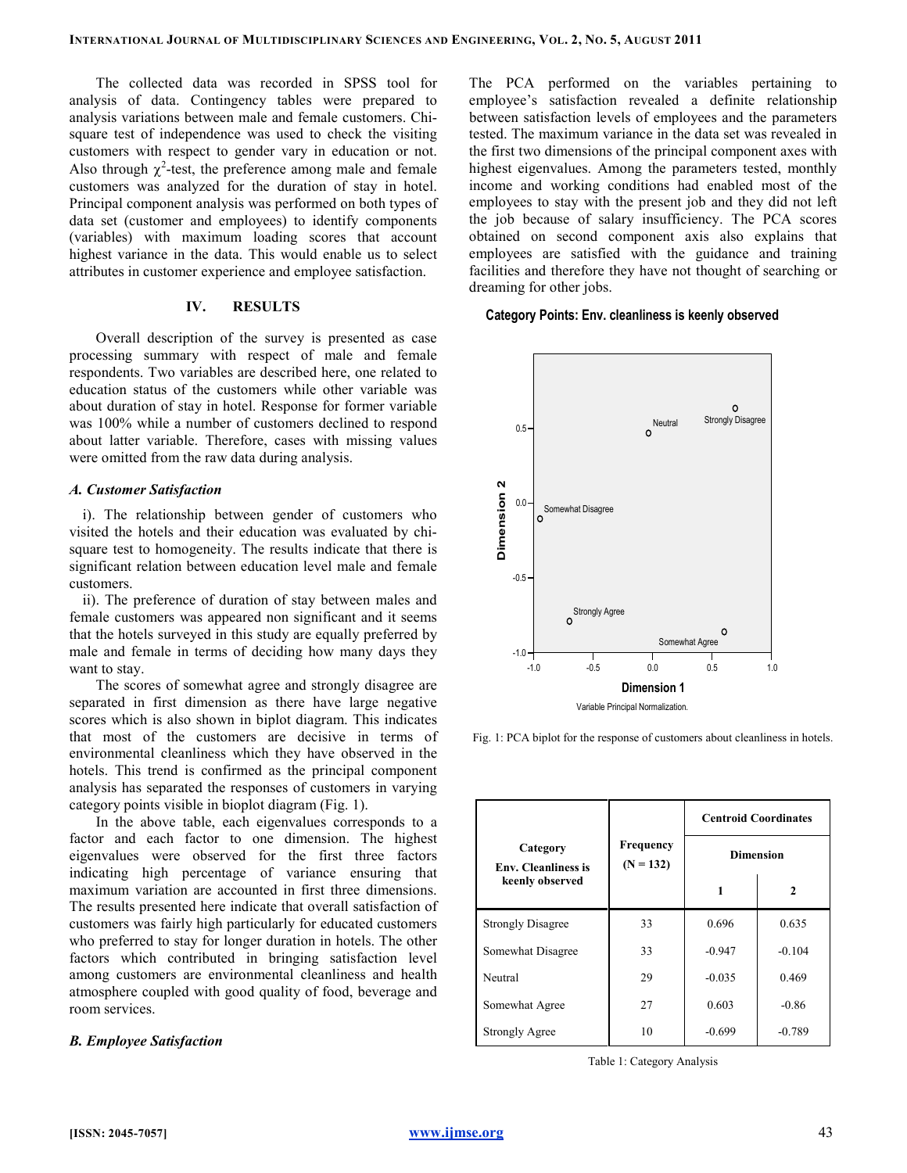The collected data was recorded in SPSS tool for analysis of data. Contingency tables were prepared to analysis variations between male and female customers. Chisquare test of independence was used to check the visiting customers with respect to gender vary in education or not. Also through  $\chi^2$ -test, the preference among male and female customers was analyzed for the duration of stay in hotel. Principal component analysis was performed on both types of data set (customer and employees) to identify components (variables) with maximum loading scores that account highest variance in the data. This would enable us to select attributes in customer experience and employee satisfaction.

## IV. RESULTS

Overall description of the survey is presented as case processing summary with respect of male and female respondents. Two variables are described here, one related to education status of the customers while other variable was about duration of stay in hotel. Response for former variable was 100% while a number of customers declined to respond about latter variable. Therefore, cases with missing values were omitted from the raw data during analysis.

## A. Customer Satisfaction

i). The relationship between gender of customers who visited the hotels and their education was evaluated by chisquare test to homogeneity. The results indicate that there is significant relation between education level male and female customers.

ii). The preference of duration of stay between males and female customers was appeared non significant and it seems that the hotels surveyed in this study are equally preferred by male and female in terms of deciding how many days they want to stay.

The scores of somewhat agree and strongly disagree are separated in first dimension as there have large negative scores which is also shown in biplot diagram. This indicates that most of the customers are decisive in terms of environmental cleanliness which they have observed in the hotels. This trend is confirmed as the principal component analysis has separated the responses of customers in varying category points visible in bioplot diagram (Fig. 1).

In the above table, each eigenvalues corresponds to a factor and each factor to one dimension. The highest eigenvalues were observed for the first three factors indicating high percentage of variance ensuring that maximum variation are accounted in first three dimensions. The results presented here indicate that overall satisfaction of customers was fairly high particularly for educated customers who preferred to stay for longer duration in hotels. The other factors which contributed in bringing satisfaction level among customers are environmental cleanliness and health atmosphere coupled with good quality of food, beverage and room services.

## B. Employee Satisfaction

The PCA performed on the variables pertaining to employee's satisfaction revealed a definite relationship between satisfaction levels of employees and the parameters tested. The maximum variance in the data set was revealed in the first two dimensions of the principal component axes with highest eigenvalues. Among the parameters tested, monthly income and working conditions had enabled most of the employees to stay with the present job and they did not left the job because of salary insufficiency. The PCA scores obtained on second component axis also explains that employees are satisfied with the guidance and training facilities and therefore they have not thought of searching or dreaming for other jobs.

#### Category Points: Env. cleanliness is keenly observed





| Category<br><b>Env.</b> Cleanliness is<br>keenly observed | <b>Frequency</b><br>$(N = 132)$ | <b>Centroid Coordinates</b><br><b>Dimension</b> |          |  |  |
|-----------------------------------------------------------|---------------------------------|-------------------------------------------------|----------|--|--|
|                                                           |                                 | 1                                               | 2        |  |  |
| <b>Strongly Disagree</b>                                  | 33                              | 0.696                                           | 0.635    |  |  |
| Somewhat Disagree                                         | 33                              | $-0.947$                                        | $-0.104$ |  |  |
| Neutral                                                   | 29                              | $-0.035$                                        | 0.469    |  |  |
| Somewhat Agree                                            | 27                              | 0.603                                           | $-0.86$  |  |  |
| <b>Strongly Agree</b>                                     | 10                              | $-0.699$                                        | $-0.789$ |  |  |

Table 1: Category Analysis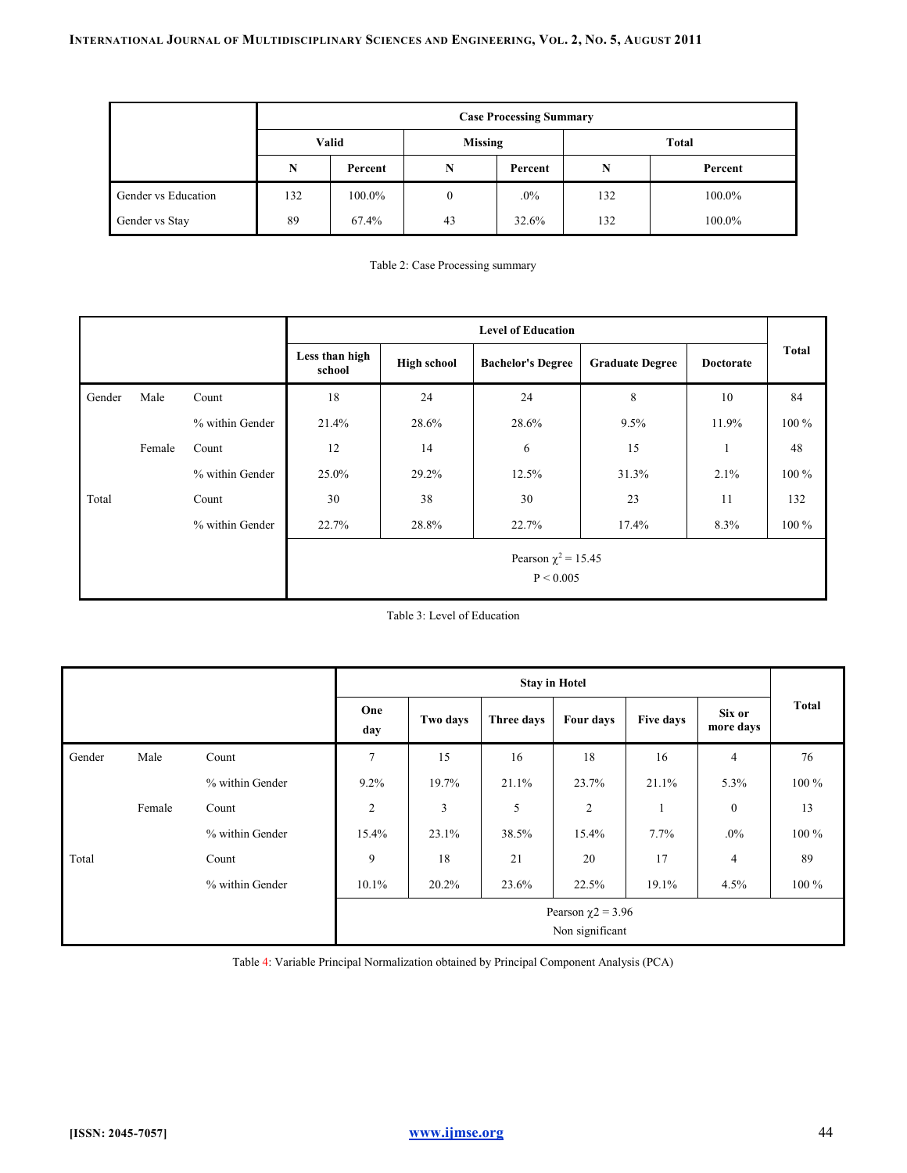| <b>Case Processing Summary</b> |       |         |                |         |       |         |  |
|--------------------------------|-------|---------|----------------|---------|-------|---------|--|
|                                | Valid |         | <b>Missing</b> |         | Total |         |  |
|                                | N     | Percent | N              | Percent | N     | Percent |  |
| Gender vs Education            | 132   | 100.0%  | 0              | $.0\%$  | 132   | 100.0%  |  |
| Gender vs Stay                 | 89    | 67.4%   | 43             | 32.6%   | 132   | 100.0%  |  |

Table 2: Case Processing summary

|        |        |                 | <b>Level of Education</b>             |                                                |       |                        |                  |              |  |
|--------|--------|-----------------|---------------------------------------|------------------------------------------------|-------|------------------------|------------------|--------------|--|
|        |        |                 | Less than high<br>school              | <b>High school</b><br><b>Bachelor's Degree</b> |       | <b>Graduate Degree</b> | <b>Doctorate</b> | <b>Total</b> |  |
| Gender | Male   | Count           | 18                                    | 24                                             | 24    | 8                      | 10               | 84           |  |
|        |        | % within Gender | 21.4%                                 | 28.6%                                          | 28.6% | 9.5%                   | 11.9%            | $100\%$      |  |
|        | Female | Count           | 12                                    | 14                                             | 6     | 15                     | 1                | 48           |  |
|        |        | % within Gender | 25.0%                                 | 29.2%                                          | 12.5% | 31.3%                  | 2.1%             | $100\%$      |  |
| Total  |        | Count           | 30                                    | 38                                             | 30    | 23                     | 11               | 132          |  |
|        |        | % within Gender | 22.7%                                 | 28.8%                                          | 22.7% | 17.4%                  | 8.3%             | $100\%$      |  |
|        |        |                 | Pearson $\chi^2$ = 15.45<br>P < 0.005 |                                                |       |                        |                  |              |  |

Table 3: Level of Education

|        |        |                 | <b>Stay in Hotel</b>                       |          |            |                |           |                     |              |
|--------|--------|-----------------|--------------------------------------------|----------|------------|----------------|-----------|---------------------|--------------|
|        |        |                 | One<br>day                                 | Two days | Three days | Four days      | Five days | Six or<br>more days | <b>Total</b> |
| Gender | Male   | Count           | $\overline{7}$                             | 15       | 16         | 18             | 16        | $\overline{4}$      | 76           |
|        |        | % within Gender | 9.2%                                       | 19.7%    | 21.1%      | 23.7%          | 21.1%     | 5.3%                | $100\%$      |
|        | Female | Count           | $\overline{c}$                             | 3        | 5          | $\overline{c}$ |           | $\boldsymbol{0}$    | 13           |
|        |        | % within Gender | 15.4%                                      | 23.1%    | 38.5%      | 15.4%          | $7.7\%$   | $.0\%$              | $100\%$      |
| Total  |        | Count           | 9                                          | 18       | 21         | 20             | 17        | $\overline{4}$      | 89           |
|        |        | % within Gender | 10.1%                                      | 20.2%    | 23.6%      | 22.5%          | 19.1%     | 4.5%                | 100 %        |
|        |        |                 | Pearson $\chi$ 2 = 3.96<br>Non significant |          |            |                |           |                     |              |

Table 4: Variable Principal Normalization obtained by Principal Component Analysis (PCA)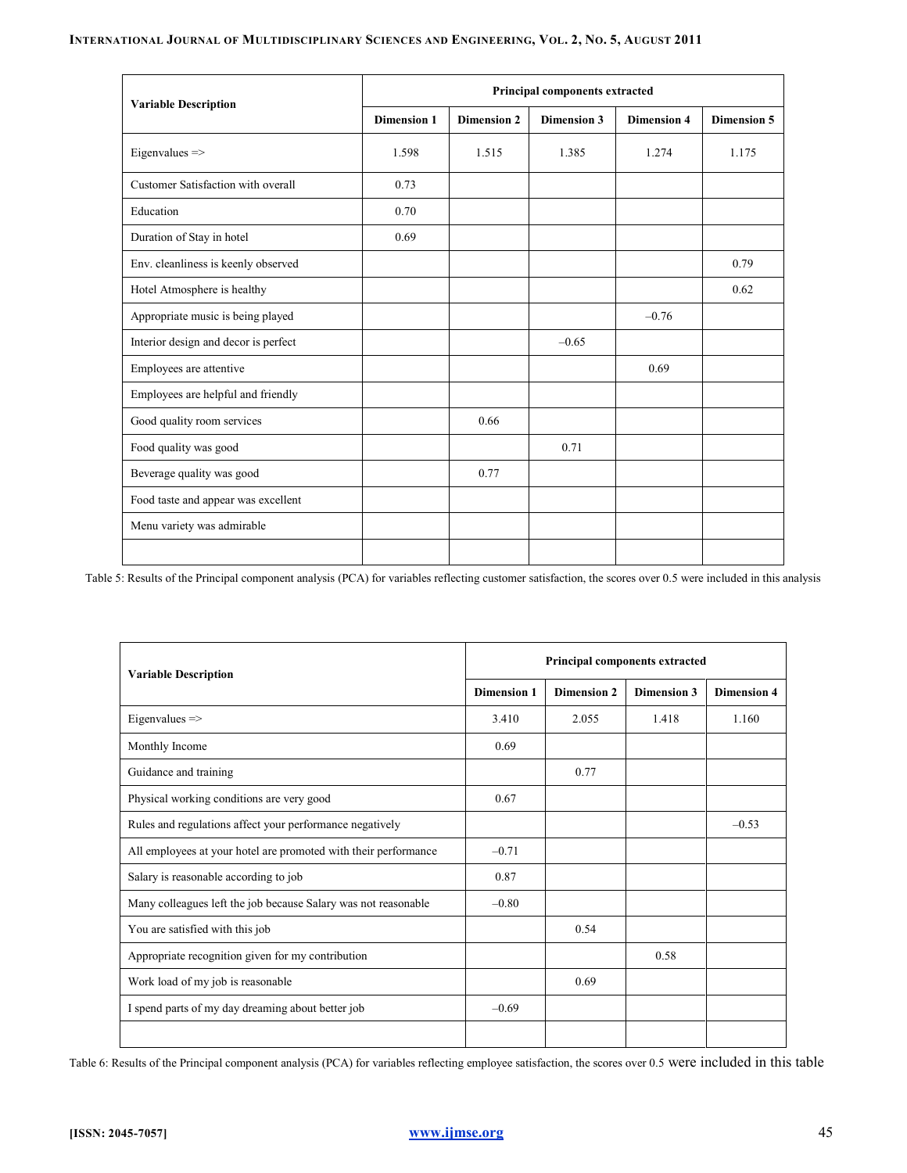## INTERNATIONAL JOURNAL OF MULTIDISCIPLINARY SCIENCES AND ENGINEERING, VOL. 2, NO. 5, AUGUST 2011

| <b>Variable Description</b>          | Principal components extracted |                    |                    |                    |                    |  |  |  |
|--------------------------------------|--------------------------------|--------------------|--------------------|--------------------|--------------------|--|--|--|
|                                      | <b>Dimension 1</b>             | <b>Dimension 2</b> | <b>Dimension 3</b> | <b>Dimension 4</b> | <b>Dimension 5</b> |  |  |  |
| Eigenvalues=>                        | 1.598                          | 1.515              | 1.385              | 1.274              | 1.175              |  |  |  |
| Customer Satisfaction with overall   | 0.73                           |                    |                    |                    |                    |  |  |  |
| Education                            | 0.70                           |                    |                    |                    |                    |  |  |  |
| Duration of Stay in hotel            | 0.69                           |                    |                    |                    |                    |  |  |  |
| Env. cleanliness is keenly observed  |                                |                    |                    |                    | 0.79               |  |  |  |
| Hotel Atmosphere is healthy          |                                |                    |                    |                    | 0.62               |  |  |  |
| Appropriate music is being played    |                                |                    |                    | $-0.76$            |                    |  |  |  |
| Interior design and decor is perfect |                                |                    | $-0.65$            |                    |                    |  |  |  |
| Employees are attentive              |                                |                    |                    | 0.69               |                    |  |  |  |
| Employees are helpful and friendly   |                                |                    |                    |                    |                    |  |  |  |
| Good quality room services           |                                | 0.66               |                    |                    |                    |  |  |  |
| Food quality was good                |                                |                    | 0.71               |                    |                    |  |  |  |
| Beverage quality was good            |                                | 0.77               |                    |                    |                    |  |  |  |
| Food taste and appear was excellent  |                                |                    |                    |                    |                    |  |  |  |
| Menu variety was admirable           |                                |                    |                    |                    |                    |  |  |  |
|                                      |                                |                    |                    |                    |                    |  |  |  |

Table 5: Results of the Principal component analysis (PCA) for variables reflecting customer satisfaction, the scores over 0.5 were included in this analysis

| <b>Variable Description</b>                                     |                    | Principal components extracted |                    |                    |  |  |  |  |
|-----------------------------------------------------------------|--------------------|--------------------------------|--------------------|--------------------|--|--|--|--|
|                                                                 | <b>Dimension 1</b> | <b>Dimension 2</b>             | <b>Dimension 3</b> | <b>Dimension 4</b> |  |  |  |  |
| Eigenvalues $\Rightarrow$                                       | 3.410              | 2.055                          | 1.418              | 1.160              |  |  |  |  |
| Monthly Income                                                  | 0.69               |                                |                    |                    |  |  |  |  |
| Guidance and training                                           |                    | 0.77                           |                    |                    |  |  |  |  |
| Physical working conditions are very good                       | 0.67               |                                |                    |                    |  |  |  |  |
| Rules and regulations affect your performance negatively        |                    |                                |                    | $-0.53$            |  |  |  |  |
| All employees at your hotel are promoted with their performance | $-0.71$            |                                |                    |                    |  |  |  |  |
| Salary is reasonable according to job                           | 0.87               |                                |                    |                    |  |  |  |  |
| Many colleagues left the job because Salary was not reasonable  | $-0.80$            |                                |                    |                    |  |  |  |  |
| You are satisfied with this job                                 |                    | 0.54                           |                    |                    |  |  |  |  |
| Appropriate recognition given for my contribution               |                    |                                | 0.58               |                    |  |  |  |  |
| Work load of my job is reasonable                               |                    | 0.69                           |                    |                    |  |  |  |  |
| I spend parts of my day dreaming about better job               | $-0.69$            |                                |                    |                    |  |  |  |  |
|                                                                 |                    |                                |                    |                    |  |  |  |  |

Table 6: Results of the Principal component analysis (PCA) for variables reflecting employee satisfaction, the scores over 0.5 were included in this table